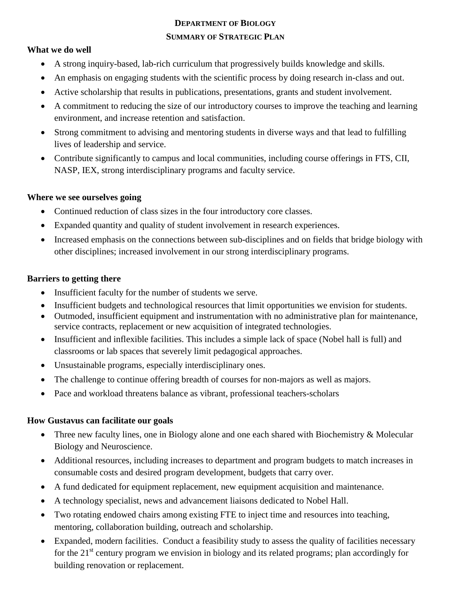## **DEPARTMENT OF BIOLOGY SUMMARY OF STRATEGIC PLAN**

### **What we do well**

- A strong inquiry-based, lab-rich curriculum that progressively builds knowledge and skills.
- An emphasis on engaging students with the scientific process by doing research in-class and out.
- Active scholarship that results in publications, presentations, grants and student involvement.
- A commitment to reducing the size of our introductory courses to improve the teaching and learning environment, and increase retention and satisfaction.
- Strong commitment to advising and mentoring students in diverse ways and that lead to fulfilling lives of leadership and service.
- Contribute significantly to campus and local communities, including course offerings in FTS, CII, NASP, IEX, strong interdisciplinary programs and faculty service.

### **Where we see ourselves going**

- Continued reduction of class sizes in the four introductory core classes.
- Expanded quantity and quality of student involvement in research experiences.
- Increased emphasis on the connections between sub-disciplines and on fields that bridge biology with other disciplines; increased involvement in our strong interdisciplinary programs.

### **Barriers to getting there**

- Insufficient faculty for the number of students we serve.
- Insufficient budgets and technological resources that limit opportunities we envision for students.
- Outmoded, insufficient equipment and instrumentation with no administrative plan for maintenance, service contracts, replacement or new acquisition of integrated technologies.
- Insufficient and inflexible facilities. This includes a simple lack of space (Nobel hall is full) and classrooms or lab spaces that severely limit pedagogical approaches.
- Unsustainable programs, especially interdisciplinary ones.
- The challenge to continue offering breadth of courses for non-majors as well as majors.
- Pace and workload threatens balance as vibrant, professional teachers-scholars

### **How Gustavus can facilitate our goals**

- Three new faculty lines, one in Biology alone and one each shared with Biochemistry & Molecular Biology and Neuroscience.
- Additional resources, including increases to department and program budgets to match increases in consumable costs and desired program development, budgets that carry over.
- A fund dedicated for equipment replacement, new equipment acquisition and maintenance.
- A technology specialist, news and advancement liaisons dedicated to Nobel Hall.
- Two rotating endowed chairs among existing FTE to inject time and resources into teaching, mentoring, collaboration building, outreach and scholarship.
- Expanded, modern facilities. Conduct a feasibility study to assess the quality of facilities necessary for the  $21<sup>st</sup>$  century program we envision in biology and its related programs; plan accordingly for building renovation or replacement.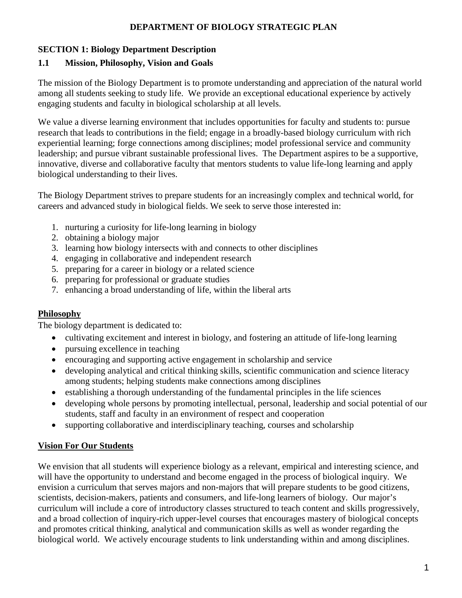### **DEPARTMENT OF BIOLOGY STRATEGIC PLAN**

### **SECTION 1: Biology Department Description**

### **1.1 Mission, Philosophy, Vision and Goals**

The mission of the Biology Department is to promote understanding and appreciation of the natural world among all students seeking to study life. We provide an exceptional educational experience by actively engaging students and faculty in biological scholarship at all levels.

We value a diverse learning environment that includes opportunities for faculty and students to: pursue research that leads to contributions in the field; engage in a broadly-based biology curriculum with rich experiential learning; forge connections among disciplines; model professional service and community leadership; and pursue vibrant sustainable professional lives. The Department aspires to be a supportive, innovative, diverse and collaborative faculty that mentors students to value life-long learning and apply biological understanding to their lives.

The Biology Department strives to prepare students for an increasingly complex and technical world, for careers and advanced study in biological fields. We seek to serve those interested in:

- 1. nurturing a curiosity for life-long learning in biology
- 2. obtaining a biology major
- 3. learning how biology intersects with and connects to other disciplines
- 4. engaging in collaborative and independent research
- 5. preparing for a career in biology or a related science
- 6. preparing for professional or graduate studies
- 7. enhancing a broad understanding of life, within the liberal arts

### **Philosophy**

The biology department is dedicated to:

- $\bullet$ cultivating excitement and interest in biology, and fostering an attitude of life-long learning
- $\bullet$ pursuing excellence in teaching
- encouraging and supporting active engagement in scholarship and service
- $\bullet$ developing analytical and critical thinking skills, scientific communication and science literacy among students; helping students make connections among disciplines
- $\bullet$ establishing a thorough understanding of the fundamental principles in the life sciences
- $\bullet$ developing whole persons by promoting intellectual, personal, leadership and social potential of our students, staff and faculty in an environment of respect and cooperation
- $\bullet$ supporting collaborative and interdisciplinary teaching, courses and scholarship

### **Vision For Our Students**

We envision that all students will experience biology as a relevant, empirical and interesting science, and will have the opportunity to understand and become engaged in the process of biological inquiry. We envision a curriculum that serves majors and non-majors that will prepare students to be good citizens, scientists, decision-makers, patients and consumers, and life-long learners of biology. Our major's curriculum will include a core of introductory classes structured to teach content and skills progressively, and a broad collection of inquiry-rich upper-level courses that encourages mastery of biological concepts and promotes critical thinking, analytical and communication skills as well as wonder regarding the biological world. We actively encourage students to link understanding within and among disciplines.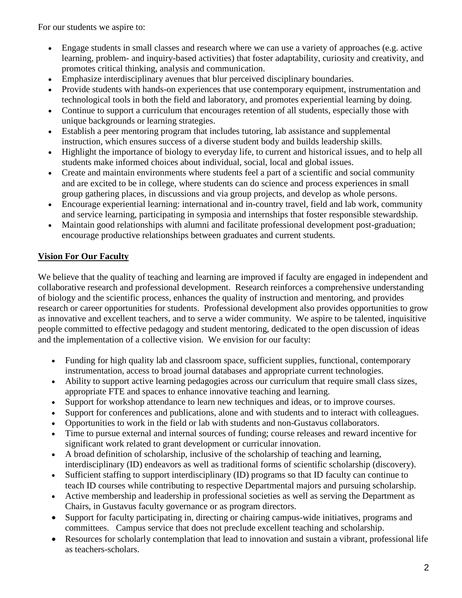For our students we aspire to:

- Engage students in small classes and research where we can use a variety of approaches (e.g. active learning, problem- and inquiry-based activities) that foster adaptability, curiosity and creativity, and promotes critical thinking, analysis and communication.
- Emphasize interdisciplinary avenues that blur perceived disciplinary boundaries.
- Provide students with hands-on experiences that use contemporary equipment, instrumentation and technological tools in both the field and laboratory, and promotes experiential learning by doing.
- Continue to support a curriculum that encourages retention of all students, especially those with unique backgrounds or learning strategies.
- Establish a peer mentoring program that includes tutoring, lab assistance and supplemental instruction, which ensures success of a diverse student body and builds leadership skills.
- Highlight the importance of biology to everyday life, to current and historical issues, and to help all students make informed choices about individual, social, local and global issues.
- Create and maintain environments where students feel a part of a scientific and social community and are excited to be in college, where students can do science and process experiences in small group gathering places, in discussions and via group projects, and develop as whole persons.
- Encourage experiential learning: international and in-country travel, field and lab work, community and service learning, participating in symposia and internships that foster responsible stewardship.
- Maintain good relationships with alumni and facilitate professional development post-graduation; encourage productive relationships between graduates and current students.

## **Vision For Our Faculty**

We believe that the quality of teaching and learning are improved if faculty are engaged in independent and collaborative research and professional development. Research reinforces a comprehensive understanding of biology and the scientific process, enhances the quality of instruction and mentoring, and provides research or career opportunities for students. Professional development also provides opportunities to grow as innovative and excellent teachers, and to serve a wider community. We aspire to be talented, inquisitive people committed to effective pedagogy and student mentoring, dedicated to the open discussion of ideas and the implementation of a collective vision. We envision for our faculty:

- Funding for high quality lab and classroom space, sufficient supplies, functional, contemporary instrumentation, access to broad journal databases and appropriate current technologies.
- Ability to support active learning pedagogies across our curriculum that require small class sizes, appropriate FTE and spaces to enhance innovative teaching and learning.
- Support for workshop attendance to learn new techniques and ideas, or to improve courses.
- Support for conferences and publications, alone and with students and to interact with colleagues.
- Opportunities to work in the field or lab with students and non-Gustavus collaborators.
- Time to pursue external and internal sources of funding; course releases and reward incentive for significant work related to grant development or curricular innovation.
- A broad definition of scholarship, inclusive of the scholarship of teaching and learning, interdisciplinary (ID) endeavors as well as traditional forms of scientific scholarship (discovery).
- Sufficient staffing to support interdisciplinary (ID) programs so that ID faculty can continue to teach ID courses while contributing to respective Departmental majors and pursuing scholarship.
- Active membership and leadership in professional societies as well as serving the Department as Chairs, in Gustavus faculty governance or as program directors.
- Support for faculty participating in, directing or chairing campus-wide initiatives, programs and committees. Campus service that does not preclude excellent teaching and scholarship.
- Resources for scholarly contemplation that lead to innovation and sustain a vibrant, professional life as teachers-scholars.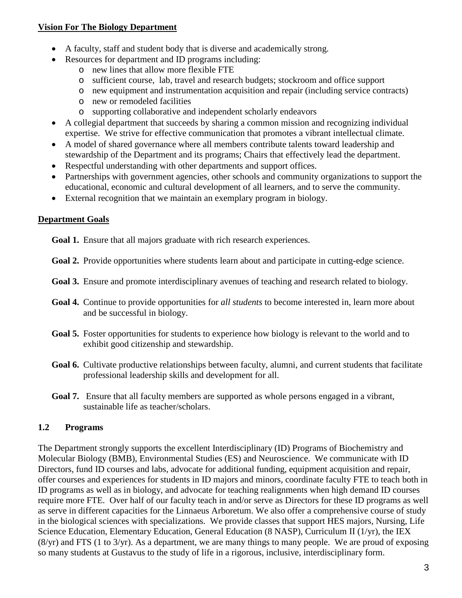### **Vision For The Biology Department**

- A faculty, staff and student body that is diverse and academically strong.
- Resources for department and ID programs including:
	- o new lines that allow more flexible FTE
	- o sufficient course, lab, travel and research budgets; stockroom and office support
	- o new equipment and instrumentation acquisition and repair (including service contracts)
	- o new or remodeled facilities
	- o supporting collaborative and independent scholarly endeavors
- A collegial department that succeeds by sharing a common mission and recognizing individual expertise. We strive for effective communication that promotes a vibrant intellectual climate.
- A model of shared governance where all members contribute talents toward leadership and stewardship of the Department and its programs; Chairs that effectively lead the department.
- Respectful understanding with other departments and support offices.
- Partnerships with government agencies, other schools and community organizations to support the educational, economic and cultural development of all learners, and to serve the community.
- External recognition that we maintain an exemplary program in biology.

### **Department Goals**

**Goal 1.** Ensure that all majors graduate with rich research experiences.

- **Goal 2.** Provide opportunities where students learn about and participate in cutting-edge science.
- **Goal 3.** Ensure and promote interdisciplinary avenues of teaching and research related to biology.
- **Goal 4.** Continue to provide opportunities for *all students* to become interested in, learn more about and be successful in biology.
- **Goal 5.** Foster opportunities for students to experience how biology is relevant to the world and to exhibit good citizenship and stewardship.
- Goal 6. Cultivate productive relationships between faculty, alumni, and current students that facilitate professional leadership skills and development for all.
- **Goal 7.** Ensure that all faculty members are supported as whole persons engaged in a vibrant, sustainable life as teacher/scholars.

### **1.2 Programs**

The Department strongly supports the excellent Interdisciplinary (ID) Programs of Biochemistry and Molecular Biology (BMB), Environmental Studies (ES) and Neuroscience. We communicate with ID Directors, fund ID courses and labs, advocate for additional funding, equipment acquisition and repair, offer courses and experiences for students in ID majors and minors, coordinate faculty FTE to teach both in ID programs as well as in biology, and advocate for teaching realignments when high demand ID courses require more FTE. Over half of our faculty teach in and/or serve as Directors for these ID programs as well as serve in different capacities for the Linnaeus Arboretum. We also offer a comprehensive course of study in the biological sciences with specializations. We provide classes that support HES majors, Nursing, Life Science Education, Elementary Education, General Education (8 NASP), Curriculum II (1/yr), the IEX (8/yr) and FTS (1 to 3/yr). As a department, we are many things to many people. We are proud of exposing so many students at Gustavus to the study of life in a rigorous, inclusive, interdisciplinary form.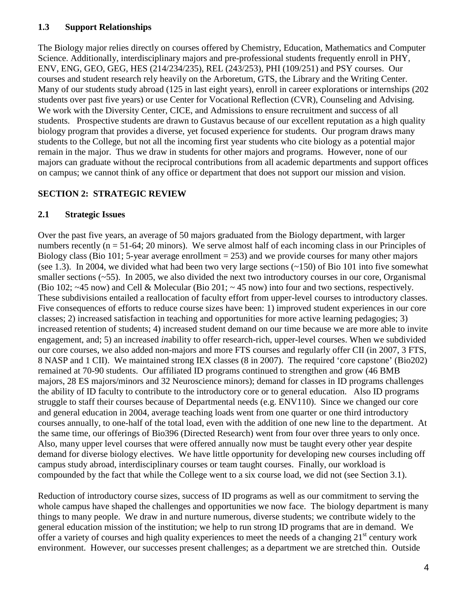### **1.3 Support Relationships**

The Biology major relies directly on courses offered by Chemistry, Education, Mathematics and Computer Science. Additionally, interdisciplinary majors and pre-professional students frequently enroll in PHY, ENV, ENG, GEO, GEG, HES (214/234/235), REL (243/253), PHI (109/251) and PSY courses. Our courses and student research rely heavily on the Arboretum, GTS, the Library and the Writing Center. Many of our students study abroad (125 in last eight years), enroll in career explorations or internships (202 students over past five years) or use Center for Vocational Reflection (CVR), Counseling and Advising. We work with the Diversity Center, CICE, and Admissions to ensure recruitment and success of all students. Prospective students are drawn to Gustavus because of our excellent reputation as a high quality biology program that provides a diverse, yet focused experience for students. Our program draws many students to the College, but not all the incoming first year students who cite biology as a potential major remain in the major. Thus we draw in students for other majors and programs. However, none of our majors can graduate without the reciprocal contributions from all academic departments and support offices on campus; we cannot think of any office or department that does not support our mission and vision.

### **SECTION 2: STRATEGIC REVIEW**

### **2.1 Strategic Issues**

Over the past five years, an average of 50 majors graduated from the Biology department, with larger numbers recently ( $n = 51-64$ ; 20 minors). We serve almost half of each incoming class in our Principles of Biology class (Bio 101; 5-year average enrollment  $= 253$ ) and we provide courses for many other majors (see 1.3). In 2004, we divided what had been two very large sections  $(-150)$  of Bio 101 into five somewhat smaller sections  $(-55)$ . In 2005, we also divided the next two introductory courses in our core, Organismal (Bio 102; ~45 now) and Cell & Molecular (Bio 201; ~ 45 now) into four and two sections, respectively. These subdivisions entailed a reallocation of faculty effort from upper-level courses to introductory classes. Five consequences of efforts to reduce course sizes have been: 1) improved student experiences in our core classes; 2) increased satisfaction in teaching and opportunities for more active learning pedagogies; 3) increased retention of students; 4) increased student demand on our time because we are more able to invite engagement, and; 5) an increased *in*ability to offer research-rich, upper-level courses. When we subdivided our core courses, we also added non-majors and more FTS courses and regularly offer CII (in 2007, 3 FTS, 8 NASP and 1 CII). We maintained strong IEX classes (8 in 2007). The required 'core capstone' (Bio202) remained at 70-90 students. Our affiliated ID programs continued to strengthen and grow (46 BMB majors, 28 ES majors/minors and 32 Neuroscience minors); demand for classes in ID programs challenges the ability of ID faculty to contribute to the introductory core or to general education. Also ID programs struggle to staff their courses because of Departmental needs (e.g. ENV110). Since we changed our core and general education in 2004, average teaching loads went from one quarter or one third introductory courses annually, to one-half of the total load, even with the addition of one new line to the department. At the same time, our offerings of Bio396 (Directed Research) went from four over three years to only once. Also, many upper level courses that were offered annually now must be taught every other year despite demand for diverse biology electives. We have little opportunity for developing new courses including off campus study abroad, interdisciplinary courses or team taught courses. Finally, our workload is compounded by the fact that while the College went to a six course load, we did not (see Section 3.1).

Reduction of introductory course sizes, success of ID programs as well as our commitment to serving the whole campus have shaped the challenges and opportunities we now face. The biology department is many things to many people. We draw in and nurture numerous, diverse students; we contribute widely to the general education mission of the institution; we help to run strong ID programs that are in demand. We offer a variety of courses and high quality experiences to meet the needs of a changing  $21<sup>st</sup>$  century work environment. However, our successes present challenges; as a department we are stretched thin. Outside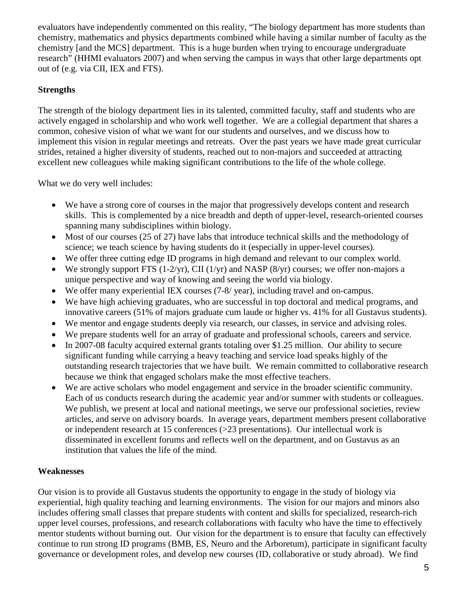evaluators have independently commented on this reality, "The biology department has more students than chemistry, mathematics and physics departments combined while having a similar number of faculty as the chemistry [and the MCS] department. This is a huge burden when trying to encourage undergraduate research" (HHMI evaluators 2007) and when serving the campus in ways that other large departments opt out of (e.g. via CII, IEX and FTS).

### **Strengths**

The strength of the biology department lies in its talented, committed faculty, staff and students who are actively engaged in scholarship and who work well together. We are a collegial department that shares a common, cohesive vision of what we want for our students and ourselves, and we discuss how to implement this vision in regular meetings and retreats. Over the past years we have made great curricular strides, retained a higher diversity of students, reached out to non-majors and succeeded at attracting excellent new colleagues while making significant contributions to the life of the whole college.

What we do very well includes:

- We have a strong core of courses in the major that progressively develops content and research skills. This is complemented by a nice breadth and depth of upper-level, research-oriented courses spanning many subdisciplines within biology.
- Most of our courses (25 of 27) have labs that introduce technical skills and the methodology of science; we teach science by having students do it (especially in upper-level courses).
- We offer three cutting edge ID programs in high demand and relevant to our complex world.
- We strongly support FTS (1-2/yr), CII (1/yr) and NASP (8/yr) courses; we offer non-majors a unique perspective and way of knowing and seeing the world via biology.
- We offer many experiential IEX courses (7-8/ year), including travel and on-campus.
- We have high achieving graduates, who are successful in top doctoral and medical programs, and innovative careers (51% of majors graduate cum laude or higher vs. 41% for all Gustavus students).
- We mentor and engage students deeply via research, our classes, in service and advising roles.
- We prepare students well for an array of graduate and professional schools, careers and service.
- In 2007-08 faculty acquired external grants totaling over \$1.25 million. Our ability to secure significant funding while carrying a heavy teaching and service load speaks highly of the outstanding research trajectories that we have built. We remain committed to collaborative research because we think that engaged scholars make the most effective teachers.
- We are active scholars who model engagement and service in the broader scientific community. Each of us conducts research during the academic year and/or summer with students or colleagues. We publish, we present at local and national meetings, we serve our professional societies, review articles, and serve on advisory boards. In average years, department members present collaborative or independent research at 15 conferences (>23 presentations). Our intellectual work is disseminated in excellent forums and reflects well on the department, and on Gustavus as an institution that values the life of the mind.

### **Weaknesses**

Our vision is to provide all Gustavus students the opportunity to engage in the study of biology via experiential, high quality teaching and learning environments. The vision for our majors and minors also includes offering small classes that prepare students with content and skills for specialized, research-rich upper level courses, professions, and research collaborations with faculty who have the time to effectively mentor students without burning out. Our vision for the department is to ensure that faculty can effectively continue to run strong ID programs (BMB, ES, Neuro and the Arboretum), participate in significant faculty governance or development roles, and develop new courses (ID, collaborative or study abroad). We find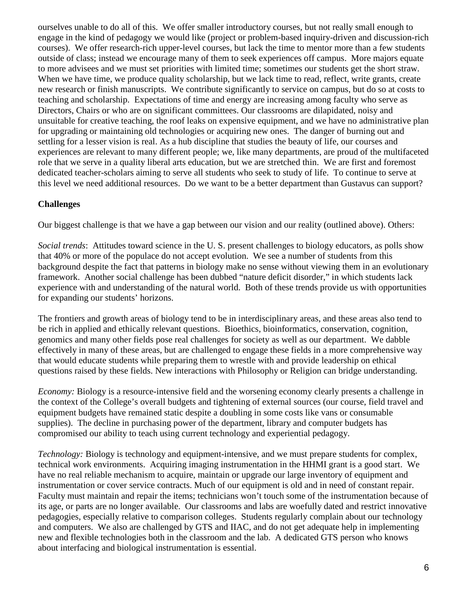ourselves unable to do all of this. We offer smaller introductory courses, but not really small enough to engage in the kind of pedagogy we would like (project or problem-based inquiry-driven and discussion-rich courses). We offer research-rich upper-level courses, but lack the time to mentor more than a few students outside of class; instead we encourage many of them to seek experiences off campus. More majors equate to more advisees and we must set priorities with limited time; sometimes our students get the short straw. When we have time, we produce quality scholarship, but we lack time to read, reflect, write grants, create new research or finish manuscripts. We contribute significantly to service on campus, but do so at costs to teaching and scholarship. Expectations of time and energy are increasing among faculty who serve as Directors, Chairs or who are on significant committees. Our classrooms are dilapidated, noisy and unsuitable for creative teaching, the roof leaks on expensive equipment, and we have no administrative plan for upgrading or maintaining old technologies or acquiring new ones. The danger of burning out and settling for a lesser vision is real. As a hub discipline that studies the beauty of life, our courses and experiences are relevant to many different people; we, like many departments, are proud of the multifaceted role that we serve in a quality liberal arts education, but we are stretched thin. We are first and foremost dedicated teacher-scholars aiming to serve all students who seek to study of life. To continue to serve at this level we need additional resources. Do we want to be a better department than Gustavus can support?

### **Challenges**

Our biggest challenge is that we have a gap between our vision and our reality (outlined above). Others:

*Social trends*: Attitudes toward science in the U. S. present challenges to biology educators, as polls show that 40% or more of the populace do not accept evolution. We see a number of students from this background despite the fact that patterns in biology make no sense without viewing them in an evolutionary framework. Another social challenge has been dubbed "nature deficit disorder," in which students lack experience with and understanding of the natural world. Both of these trends provide us with opportunities for expanding our students' horizons.

The frontiers and growth areas of biology tend to be in interdisciplinary areas, and these areas also tend to be rich in applied and ethically relevant questions. Bioethics, bioinformatics, conservation, cognition, genomics and many other fields pose real challenges for society as well as our department. We dabble effectively in many of these areas, but are challenged to engage these fields in a more comprehensive way that would educate students while preparing them to wrestle with and provide leadership on ethical questions raised by these fields. New interactions with Philosophy or Religion can bridge understanding.

*Economy:* Biology is a resource-intensive field and the worsening economy clearly presents a challenge in the context of the College's overall budgets and tightening of external sources (our course, field travel and equipment budgets have remained static despite a doubling in some costs like vans or consumable supplies). The decline in purchasing power of the department, library and computer budgets has compromised our ability to teach using current technology and experiential pedagogy.

*Technology:* Biology is technology and equipment-intensive, and we must prepare students for complex, technical work environments. Acquiring imaging instrumentation in the HHMI grant is a good start. We have no real reliable mechanism to acquire, maintain or upgrade our large inventory of equipment and instrumentation or cover service contracts. Much of our equipment is old and in need of constant repair. Faculty must maintain and repair the items; technicians won't touch some of the instrumentation because of its age, or parts are no longer available. Our classrooms and labs are woefully dated and restrict innovative pedagogies, especially relative to comparison colleges. Students regularly complain about our technology and computers. We also are challenged by GTS and IIAC, and do not get adequate help in implementing new and flexible technologies both in the classroom and the lab. A dedicated GTS person who knows about interfacing and biological instrumentation is essential.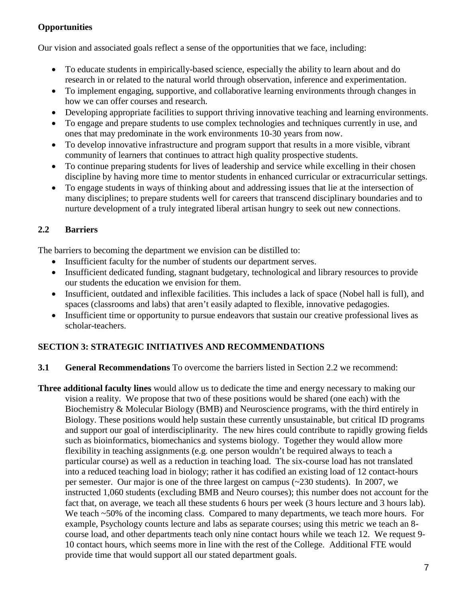## **Opportunities**

Our vision and associated goals reflect a sense of the opportunities that we face, including:

- To educate students in empirically-based science, especially the ability to learn about and do research in or related to the natural world through observation, inference and experimentation.
- To implement engaging, supportive, and collaborative learning environments through changes in how we can offer courses and research.
- Developing appropriate facilities to support thriving innovative teaching and learning environments.
- To engage and prepare students to use complex technologies and techniques currently in use, and ones that may predominate in the work environments 10-30 years from now.
- To develop innovative infrastructure and program support that results in a more visible, vibrant community of learners that continues to attract high quality prospective students.
- To continue preparing students for lives of leadership and service while excelling in their chosen discipline by having more time to mentor students in enhanced curricular or extracurricular settings.
- To engage students in ways of thinking about and addressing issues that lie at the intersection of many disciplines; to prepare students well for careers that transcend disciplinary boundaries and to nurture development of a truly integrated liberal artisan hungry to seek out new connections.

# **2.2 Barriers**

The barriers to becoming the department we envision can be distilled to:

- Insufficient faculty for the number of students our department serves.
- Insufficient dedicated funding, stagnant budgetary, technological and library resources to provide our students the education we envision for them.
- Insufficient, outdated and inflexible facilities. This includes a lack of space (Nobel hall is full), and spaces (classrooms and labs) that aren't easily adapted to flexible, innovative pedagogies.
- Insufficient time or opportunity to pursue endeavors that sustain our creative professional lives as scholar-teachers.

## **SECTION 3: STRATEGIC INITIATIVES AND RECOMMENDATIONS**

**3.1 General Recommendations** To overcome the barriers listed in Section 2.2 we recommend:

**Three additional faculty lines** would allow us to dedicate the time and energy necessary to making our vision a reality. We propose that two of these positions would be shared (one each) with the Biochemistry & Molecular Biology (BMB) and Neuroscience programs, with the third entirely in Biology. These positions would help sustain these currently unsustainable, but critical ID programs and support our goal of interdisciplinarity. The new hires could contribute to rapidly growing fields such as bioinformatics, biomechanics and systems biology. Together they would allow more flexibility in teaching assignments (e.g. one person wouldn't be required always to teach a particular course) as well as a reduction in teaching load. The six-course load has not translated into a reduced teaching load in biology; rather it has codified an existing load of 12 contact-hours per semester. Our major is one of the three largest on campus (~230 students). In 2007, we instructed 1,060 students (excluding BMB and Neuro courses); this number does not account for the fact that, on average, we teach all these students 6 hours per week (3 hours lecture and 3 hours lab). We teach ~50% of the incoming class. Compared to many departments, we teach more hours. For example, Psychology counts lecture and labs as separate courses; using this metric we teach an 8 course load, and other departments teach only nine contact hours while we teach 12. We request 9- 10 contact hours, which seems more in line with the rest of the College. Additional FTE would provide time that would support all our stated department goals.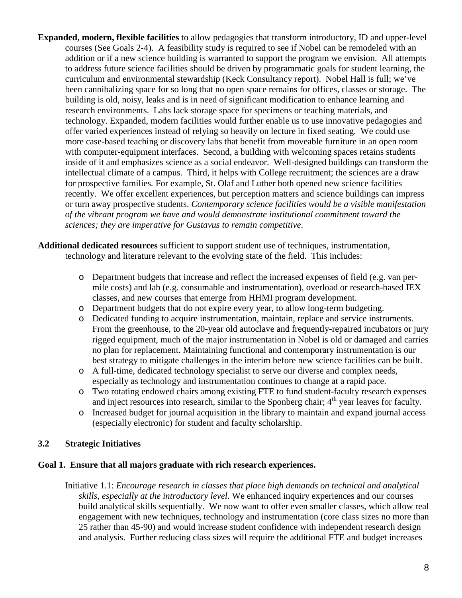- **Expanded, modern, flexible facilities** to allow pedagogies that transform introductory, ID and upper-level courses (See Goals 2-4). A feasibility study is required to see if Nobel can be remodeled with an addition or if a new science building is warranted to support the program we envision. All attempts to address future science facilities should be driven by programmatic goals for student learning, the curriculum and environmental stewardship (Keck Consultancy report). Nobel Hall is full; we've been cannibalizing space for so long that no open space remains for offices, classes or storage. The building is old, noisy, leaks and is in need of significant modification to enhance learning and research environments. Labs lack storage space for specimens or teaching materials, and technology. Expanded, modern facilities would further enable us to use innovative pedagogies and offer varied experiences instead of relying so heavily on lecture in fixed seating. We could use more case-based teaching or discovery labs that benefit from moveable furniture in an open room with computer-equipment interfaces. Second, a building with welcoming spaces retains students inside of it and emphasizes science as a social endeavor. Well-designed buildings can transform the intellectual climate of a campus. Third, it helps with College recruitment; the sciences are a draw for prospective families*.* For example, St. Olaf and Luther both opened new science facilities recently. We offer excellent experiences, but perception matters and science buildings can impress or turn away prospective students. *Contemporary science facilities would be a visible manifestation of the vibrant program we have and would demonstrate institutional commitment toward the sciences; they are imperative for Gustavus to remain competitive*.
- **Additional dedicated resources** sufficient to support student use of techniques, instrumentation, technology and literature relevant to the evolving state of the field. This includes:
	- o Department budgets that increase and reflect the increased expenses of field (e.g. van permile costs) and lab (e.g. consumable and instrumentation), overload or research-based IEX classes, and new courses that emerge from HHMI program development.
	- o Department budgets that do not expire every year, to allow long-term budgeting.
	- o Dedicated funding to acquire instrumentation, maintain, replace and service instruments. From the greenhouse, to the 20-year old autoclave and frequently-repaired incubators or jury rigged equipment, much of the major instrumentation in Nobel is old or damaged and carries no plan for replacement. Maintaining functional and contemporary instrumentation is our best strategy to mitigate challenges in the interim before new science facilities can be built.
	- o A full-time, dedicated technology specialist to serve our diverse and complex needs, especially as technology and instrumentation continues to change at a rapid pace.
	- o Two rotating endowed chairs among existing FTE to fund student-faculty research expenses and inject resources into research, similar to the Sponberg chair;  $4<sup>th</sup>$  year leaves for faculty.
	- o Increased budget for journal acquisition in the library to maintain and expand journal access (especially electronic) for student and faculty scholarship.

### **3.2 Strategic Initiatives**

### **Goal 1. Ensure that all majors graduate with rich research experiences.**

Initiative 1.1: *Encourage research in classes that place high demands on technical and analytical skills, especially at the introductory level*. We enhanced inquiry experiences and our courses build analytical skills sequentially. We now want to offer even smaller classes, which allow real engagement with new techniques, technology and instrumentation (core class sizes no more than 25 rather than 45-90) and would increase student confidence with independent research design and analysis. Further reducing class sizes will require the additional FTE and budget increases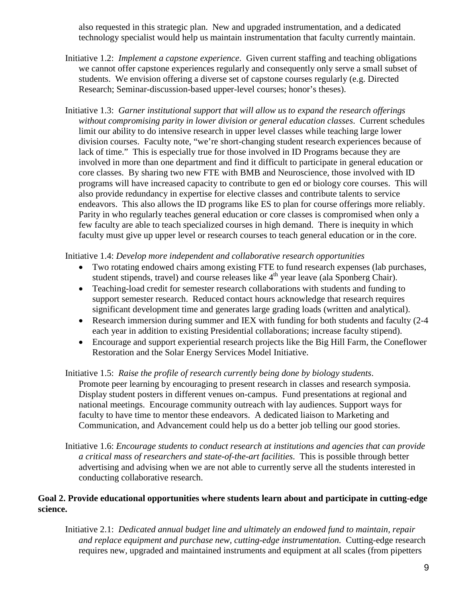also requested in this strategic plan. New and upgraded instrumentation, and a dedicated technology specialist would help us maintain instrumentation that faculty currently maintain.

- Initiative 1.2: *Implement a capstone experience*. Given current staffing and teaching obligations we cannot offer capstone experiences regularly and consequently only serve a small subset of students. We envision offering a diverse set of capstone courses regularly (e.g. Directed Research; Seminar-discussion-based upper-level courses; honor's theses).
- Initiative 1.3: *Garner institutional support that will allow us to expand the research offerings without compromising parity in lower division or general education classes*. Current schedules limit our ability to do intensive research in upper level classes while teaching large lower division courses. Faculty note, "we're short-changing student research experiences because of lack of time." This is especially true for those involved in ID Programs because they are involved in more than one department and find it difficult to participate in general education or core classes. By sharing two new FTE with BMB and Neuroscience, those involved with ID programs will have increased capacity to contribute to gen ed or biology core courses. This will also provide redundancy in expertise for elective classes and contribute talents to service endeavors. This also allows the ID programs like ES to plan for course offerings more reliably. Parity in who regularly teaches general education or core classes is compromised when only a few faculty are able to teach specialized courses in high demand. There is inequity in which faculty must give up upper level or research courses to teach general education or in the core.

Initiative 1.4: *Develop more independent and collaborative research opportunities*

- Two rotating endowed chairs among existing FTE to fund research expenses (lab purchases, student stipends, travel) and course releases like  $4<sup>th</sup>$  year leave (ala Sponberg Chair).
- Teaching-load credit for semester research collaborations with students and funding to support semester research. Reduced contact hours acknowledge that research requires significant development time and generates large grading loads (written and analytical).
- Research immersion during summer and IEX with funding for both students and faculty (2-4) each year in addition to existing Presidential collaborations; increase faculty stipend).
- Encourage and support experiential research projects like the Big Hill Farm, the Coneflower Restoration and the Solar Energy Services Model Initiative.

Initiative 1.5: *Raise the profile of research currently being done by biology students*. Promote peer learning by encouraging to present research in classes and research symposia. Display student posters in different venues on-campus. Fund presentations at regional and national meetings. Encourage community outreach with lay audiences. Support ways for faculty to have time to mentor these endeavors. A dedicated liaison to Marketing and Communication, and Advancement could help us do a better job telling our good stories.

Initiative 1.6: *Encourage students to conduct research at institutions and agencies that can provide a critical mass of researchers and state-of-the-art facilities*. This is possible through better advertising and advising when we are not able to currently serve all the students interested in conducting collaborative research.

### **Goal 2. Provide educational opportunities where students learn about and participate in cutting-edge science.**

Initiative 2.1: *Dedicated annual budget line and ultimately an endowed fund to maintain, repair and replace equipment and purchase new, cutting-edge instrumentation.* Cutting-edge research requires new, upgraded and maintained instruments and equipment at all scales (from pipetters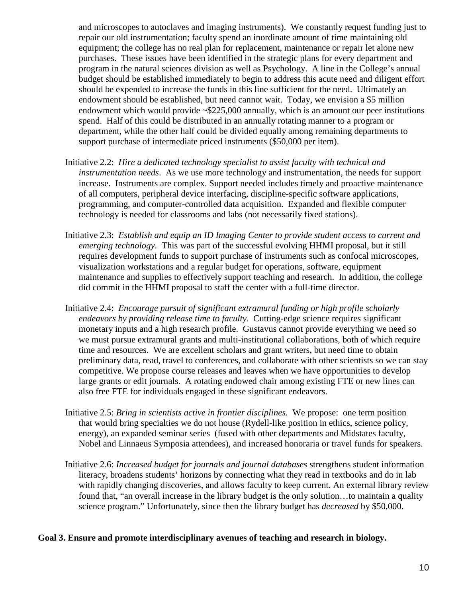and microscopes to autoclaves and imaging instruments). We constantly request funding just to repair our old instrumentation; faculty spend an inordinate amount of time maintaining old equipment; the college has no real plan for replacement, maintenance or repair let alone new purchases. These issues have been identified in the strategic plans for every department and program in the natural sciences division as well as Psychology. A line in the College's annual budget should be established immediately to begin to address this acute need and diligent effort should be expended to increase the funds in this line sufficient for the need. Ultimately an endowment should be established, but need cannot wait. Today, we envision a \$5 million endowment which would provide ~\$225,000 annually, which is an amount our peer institutions spend. Half of this could be distributed in an annually rotating manner to a program or department, while the other half could be divided equally among remaining departments to support purchase of intermediate priced instruments (\$50,000 per item).

- Initiative 2.2: *Hire a dedicated technology specialist to assist faculty with technical and instrumentation needs*. As we use more technology and instrumentation, the needs for support increase. Instruments are complex. Support needed includes timely and proactive maintenance of all computers, peripheral device interfacing, discipline-specific software applications, programming, and computer-controlled data acquisition. Expanded and flexible computer technology is needed for classrooms and labs (not necessarily fixed stations).
- Initiative 2.3: *Establish and equip an ID Imaging Center to provide student access to current and emerging technology*. This was part of the successful evolving HHMI proposal, but it still requires development funds to support purchase of instruments such as confocal microscopes, visualization workstations and a regular budget for operations, software, equipment maintenance and supplies to effectively support teaching and research. In addition, the college did commit in the HHMI proposal to staff the center with a full-time director.
- Initiative 2.4: *Encourage pursuit of significant extramural funding or high profile scholarly endeavors by providing release time to faculty*. Cutting-edge science requires significant monetary inputs and a high research profile. Gustavus cannot provide everything we need so we must pursue extramural grants and multi-institutional collaborations, both of which require time and resources. We are excellent scholars and grant writers, but need time to obtain preliminary data, read, travel to conferences, and collaborate with other scientists so we can stay competitive. We propose course releases and leaves when we have opportunities to develop large grants or edit journals. A rotating endowed chair among existing FTE or new lines can also free FTE for individuals engaged in these significant endeavors.
- Initiative 2.5: *Bring in scientists active in frontier disciplines.* We propose: one term position that would bring specialties we do not house (Rydell-like position in ethics, science policy, energy), an expanded seminar series (fused with other departments and Midstates faculty, Nobel and Linnaeus Symposia attendees), and increased honoraria or travel funds for speakers.
- Initiative 2.6: *Increased budget for journals and journal databases* strengthens student information literacy, broadens students' horizons by connecting what they read in textbooks and do in lab with rapidly changing discoveries, and allows faculty to keep current. An external library review found that, "an overall increase in the library budget is the only solution…to maintain a quality science program." Unfortunately, since then the library budget has *decreased* by \$50,000.

### **Goal 3. Ensure and promote interdisciplinary avenues of teaching and research in biology.**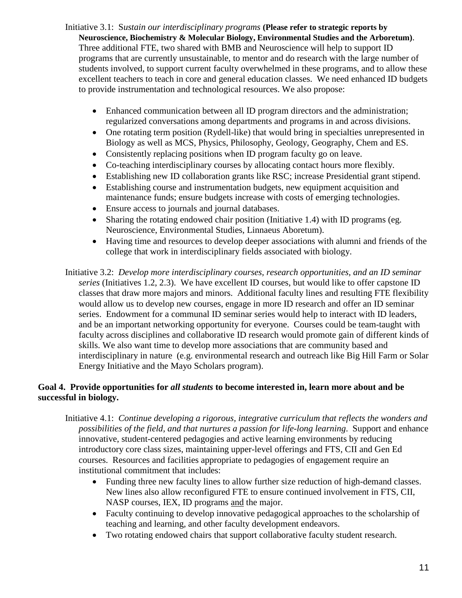- Initiative 3.1: S*ustain our interdisciplinary programs* **(Please refer to strategic reports by Neuroscience, Biochemistry & Molecular Biology, Environmental Studies and the Arboretum)**. Three additional FTE, two shared with BMB and Neuroscience will help to support ID programs that are currently unsustainable, to mentor and do research with the large number of students involved, to support current faculty overwhelmed in these programs, and to allow these excellent teachers to teach in core and general education classes. We need enhanced ID budgets to provide instrumentation and technological resources. We also propose:
	- Enhanced communication between all ID program directors and the administration; regularized conversations among departments and programs in and across divisions.
	- One rotating term position (Rydell-like) that would bring in specialties unrepresented in Biology as well as MCS, Physics, Philosophy, Geology, Geography, Chem and ES.
	- Consistently replacing positions when ID program faculty go on leave.
	- Co-teaching interdisciplinary courses by allocating contact hours more flexibly.
	- Establishing new ID collaboration grants like RSC; increase Presidential grant stipend.
	- Establishing course and instrumentation budgets, new equipment acquisition and maintenance funds; ensure budgets increase with costs of emerging technologies.
	- Ensure access to journals and journal databases.
	- Sharing the rotating endowed chair position (Initiative 1.4) with ID programs (eg. Neuroscience, Environmental Studies, Linnaeus Aboretum).
	- Having time and resources to develop deeper associations with alumni and friends of the college that work in interdisciplinary fields associated with biology.
- Initiative 3.2: *Develop more interdisciplinary courses, research opportunities, and an ID seminar series* (Initiatives 1.2, 2.3). We have excellent ID courses, but would like to offer capstone ID classes that draw more majors and minors. Additional faculty lines and resulting FTE flexibility would allow us to develop new courses, engage in more ID research and offer an ID seminar series. Endowment for a communal ID seminar series would help to interact with ID leaders, and be an important networking opportunity for everyone. Courses could be team-taught with faculty across disciplines and collaborative ID research would promote gain of different kinds of skills. We also want time to develop more associations that are community based and interdisciplinary in nature (e.g. environmental research and outreach like Big Hill Farm or Solar Energy Initiative and the Mayo Scholars program).

### **Goal 4. Provide opportunities for** *all students* **to become interested in, learn more about and be successful in biology.**

- Initiative 4.1: *Continue developing a rigorous, integrative curriculum that reflects the wonders and possibilities of the field, and that nurtures a passion for life-long learning*. Support and enhance innovative, student-centered pedagogies and active learning environments by reducing introductory core class sizes, maintaining upper-level offerings and FTS, CII and Gen Ed courses. Resources and facilities appropriate to pedagogies of engagement require an institutional commitment that includes:
	- Funding three new faculty lines to allow further size reduction of high-demand classes. New lines also allow reconfigured FTE to ensure continued involvement in FTS, CII, NASP courses, IEX, ID programs and the major.
	- Faculty continuing to develop innovative pedagogical approaches to the scholarship of teaching and learning, and other faculty development endeavors.
	- Two rotating endowed chairs that support collaborative faculty student research.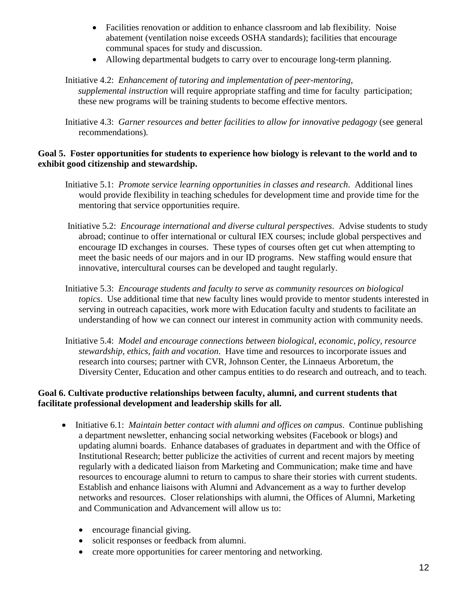- Facilities renovation or addition to enhance classroom and lab flexibility. Noise abatement (ventilation noise exceeds OSHA standards); facilities that encourage communal spaces for study and discussion.
- Allowing departmental budgets to carry over to encourage long-term planning.

#### Initiative 4.2: *Enhancement of tutoring and implementation of peer-mentoring, supplemental instruction* will require appropriate staffing and time for faculty participation; these new programs will be training students to become effective mentors.

Initiative 4.3: *Garner resources and better facilities to allow for innovative pedagogy* (see general recommendations)*.*

#### **Goal 5. Foster opportunities for students to experience how biology is relevant to the world and to exhibit good citizenship and stewardship.**

- Initiative 5.1: *Promote service learning opportunities in classes and research*. Additional lines would provide flexibility in teaching schedules for development time and provide time for the mentoring that service opportunities require.
- Initiative 5.2: *Encourage international and diverse cultural perspectives*. Advise students to study abroad; continue to offer international or cultural IEX courses; include global perspectives and encourage ID exchanges in courses. These types of courses often get cut when attempting to meet the basic needs of our majors and in our ID programs. New staffing would ensure that innovative, intercultural courses can be developed and taught regularly.
- Initiative 5.3: *Encourage students and faculty to serve as community resources on biological topics*. Use additional time that new faculty lines would provide to mentor students interested in serving in outreach capacities, work more with Education faculty and students to facilitate an understanding of how we can connect our interest in community action with community needs.
- Initiative 5.4: *Model and encourage connections between biological, economic, policy, resource stewardship, ethics, faith and vocation*. Have time and resources to incorporate issues and research into courses; partner with CVR, Johnson Center, the Linnaeus Arboretum, the Diversity Center, Education and other campus entities to do research and outreach, and to teach.

### **Goal 6. Cultivate productive relationships between faculty, alumni, and current students that facilitate professional development and leadership skills for all.**

- Initiative 6.1: *Maintain better contact with alumni and offices on campus*. Continue publishing a department newsletter, enhancing social networking websites (Facebook or blogs) and updating alumni boards. Enhance databases of graduates in department and with the Office of Institutional Research; better publicize the activities of current and recent majors by meeting regularly with a dedicated liaison from Marketing and Communication; make time and have resources to encourage alumni to return to campus to share their stories with current students. Establish and enhance liaisons with Alumni and Advancement as a way to further develop networks and resources. Closer relationships with alumni, the Offices of Alumni, Marketing and Communication and Advancement will allow us to:
	- encourage financial giving.
	- solicit responses or feedback from alumni.
	- create more opportunities for career mentoring and networking.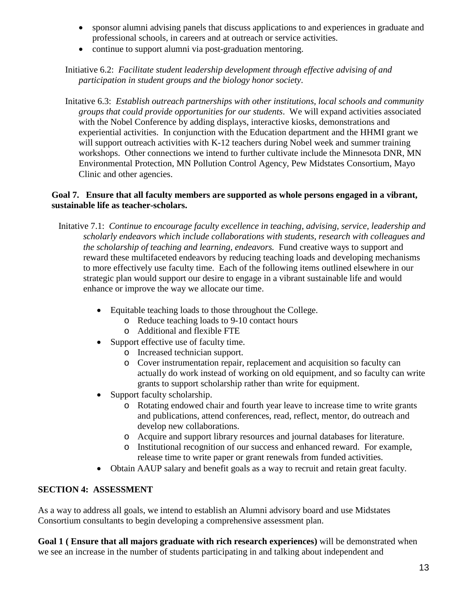- sponsor alumni advising panels that discuss applications to and experiences in graduate and professional schools, in careers and at outreach or service activities.
- continue to support alumni via post-graduation mentoring.

Initiative 6.2: *Facilitate student leadership development through effective advising of and participation in student groups and the biology honor society*.

Initative 6.3: *Establish outreach partnerships with other institutions, local schools and community groups that could provide opportunities for our students*. We will expand activities associated with the Nobel Conference by adding displays, interactive kiosks, demonstrations and experiential activities. In conjunction with the Education department and the HHMI grant we will support outreach activities with K-12 teachers during Nobel week and summer training workshops. Other connections we intend to further cultivate include the Minnesota DNR, MN Environmental Protection, MN Pollution Control Agency, Pew Midstates Consortium, Mayo Clinic and other agencies.

### **Goal 7. Ensure that all faculty members are supported as whole persons engaged in a vibrant, sustainable life as teacher-scholars.**

- Initative 7.1: *Continue to encourage faculty excellence in teaching, advising, service, leadership and scholarly endeavors which include collaborations with students, research with colleagues and the scholarship of teaching and learning, endeavors.* Fund creative ways to support and reward these multifaceted endeavors by reducing teaching loads and developing mechanisms to more effectively use faculty time. Each of the following items outlined elsewhere in our strategic plan would support our desire to engage in a vibrant sustainable life and would enhance or improve the way we allocate our time.
	- Equitable teaching loads to those throughout the College.
		- o Reduce teaching loads to 9-10 contact hours
		- o Additional and flexible FTE
	- Support effective use of faculty time.
		- o Increased technician support.
		- o Cover instrumentation repair, replacement and acquisition so faculty can actually do work instead of working on old equipment, and so faculty can write grants to support scholarship rather than write for equipment.
	- Support faculty scholarship.
		- o Rotating endowed chair and fourth year leave to increase time to write grants and publications, attend conferences, read, reflect, mentor, do outreach and develop new collaborations.
		- o Acquire and support library resources and journal databases for literature.
		- o Institutional recognition of our success and enhanced reward. For example, release time to write paper or grant renewals from funded activities.
	- Obtain AAUP salary and benefit goals as a way to recruit and retain great faculty.

### **SECTION 4: ASSESSMENT**

As a way to address all goals, we intend to establish an Alumni advisory board and use Midstates Consortium consultants to begin developing a comprehensive assessment plan.

**Goal 1 ( Ensure that all majors graduate with rich research experiences)** will be demonstrated when we see an increase in the number of students participating in and talking about independent and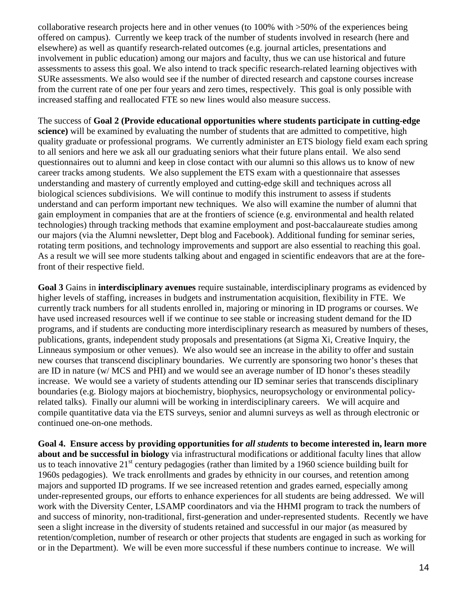collaborative research projects here and in other venues (to 100% with >50% of the experiences being offered on campus). Currently we keep track of the number of students involved in research (here and elsewhere) as well as quantify research-related outcomes (e.g. journal articles, presentations and involvement in public education) among our majors and faculty, thus we can use historical and future assessments to assess this goal. We also intend to track specific research-related learning objectives with SURe assessments. We also would see if the number of directed research and capstone courses increase from the current rate of one per four years and zero times, respectively. This goal is only possible with increased staffing and reallocated FTE so new lines would also measure success.

The success of **Goal 2 (Provide educational opportunities where students participate in cutting-edge science)** will be examined by evaluating the number of students that are admitted to competitive, high quality graduate or professional programs. We currently administer an ETS biology field exam each spring to all seniors and here we ask all our graduating seniors what their future plans entail. We also send questionnaires out to alumni and keep in close contact with our alumni so this allows us to know of new career tracks among students. We also supplement the ETS exam with a questionnaire that assesses understanding and mastery of currently employed and cutting-edge skill and techniques across all biological sciences subdivisions. We will continue to modify this instrument to assess if students understand and can perform important new techniques. We also will examine the number of alumni that gain employment in companies that are at the frontiers of science (e.g. environmental and health related technologies) through tracking methods that examine employment and post-baccalaureate studies among our majors (via the Alumni newsletter, Dept blog and Facebook). Additional funding for seminar series, rotating term positions, and technology improvements and support are also essential to reaching this goal. As a result we will see more students talking about and engaged in scientific endeavors that are at the forefront of their respective field.

**Goal 3** Gains in **interdisciplinary avenues** require sustainable, interdisciplinary programs as evidenced by higher levels of staffing, increases in budgets and instrumentation acquisition, flexibility in FTE. We currently track numbers for all students enrolled in, majoring or minoring in ID programs or courses. We have used increased resources well if we continue to see stable or increasing student demand for the ID programs, and if students are conducting more interdisciplinary research as measured by numbers of theses, publications, grants, independent study proposals and presentations (at Sigma Xi, Creative Inquiry, the Linneaus symposium or other venues). We also would see an increase in the ability to offer and sustain new courses that transcend disciplinary boundaries. We currently are sponsoring two honor's theses that are ID in nature (w/ MCS and PHI) and we would see an average number of ID honor's theses steadily increase. We would see a variety of students attending our ID seminar series that transcends disciplinary boundaries (e.g. Biology majors at biochemistry, biophysics, neuropsychology or environmental policyrelated talks). Finally our alumni will be working in interdisciplinary careers. We will acquire and compile quantitative data via the ETS surveys, senior and alumni surveys as well as through electronic or continued one-on-one methods.

**Goal 4. Ensure access by providing opportunities for** *all students* **to become interested in, learn more about and be successful in biology** via infrastructural modifications or additional faculty lines that allow us to teach innovative  $21<sup>st</sup>$  century pedagogies (rather than limited by a 1960 science building built for 1960s pedagogies). We track enrollments and grades by ethnicity in our courses, and retention among majors and supported ID programs. If we see increased retention and grades earned, especially among under-represented groups, our efforts to enhance experiences for all students are being addressed. We will work with the Diversity Center, LSAMP coordinators and via the HHMI program to track the numbers of and success of minority, non-traditional, first-generation and under-represented students. Recently we have seen a slight increase in the diversity of students retained and successful in our major (as measured by retention/completion, number of research or other projects that students are engaged in such as working for or in the Department). We will be even more successful if these numbers continue to increase. We will